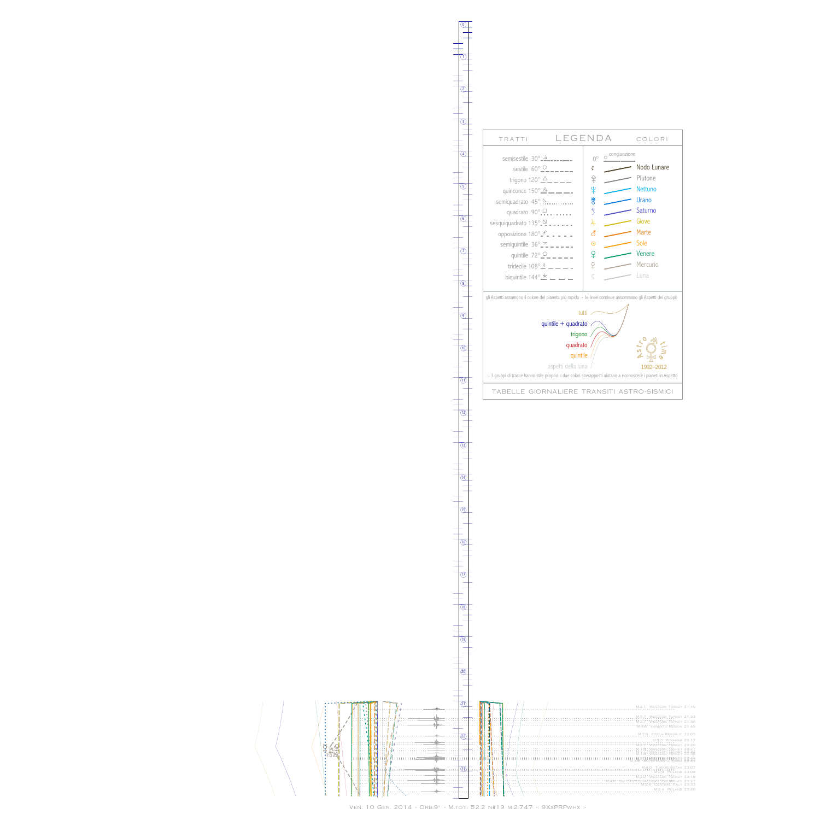##